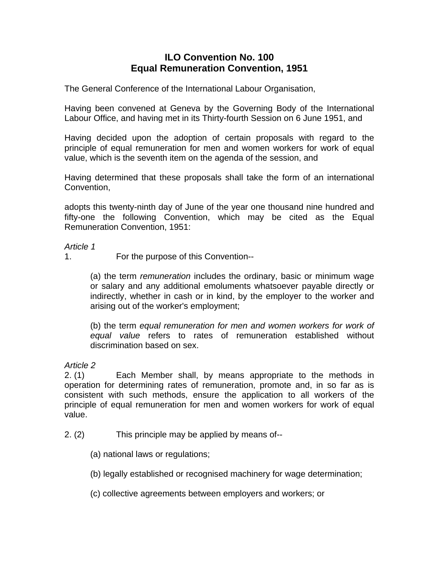# **ILO Convention No. 100 Equal Remuneration Convention, 1951**

The General Conference of the International Labour Organisation,

Having been convened at Geneva by the Governing Body of the International Labour Office, and having met in its Thirty-fourth Session on 6 June 1951, and

Having decided upon the adoption of certain proposals with regard to the principle of equal remuneration for men and women workers for work of equal value, which is the seventh item on the agenda of the session, and

Having determined that these proposals shall take the form of an international Convention,

adopts this twenty-ninth day of June of the year one thousand nine hundred and fifty-one the following Convention, which may be cited as the Equal Remuneration Convention, 1951:

#### *Article 1*

1. For the purpose of this Convention--

(a) the term *remuneration* includes the ordinary, basic or minimum wage or salary and any additional emoluments whatsoever payable directly or indirectly, whether in cash or in kind, by the employer to the worker and arising out of the worker's employment;

(b) the term *equal remuneration for men and women workers for work of equal value* refers to rates of remuneration established without discrimination based on sex.

*Article 2* 

2. (1) Each Member shall, by means appropriate to the methods in operation for determining rates of remuneration, promote and, in so far as is consistent with such methods, ensure the application to all workers of the principle of equal remuneration for men and women workers for work of equal value.

2. (2) This principle may be applied by means of--

(a) national laws or regulations;

- (b) legally established or recognised machinery for wage determination;
- (c) collective agreements between employers and workers; or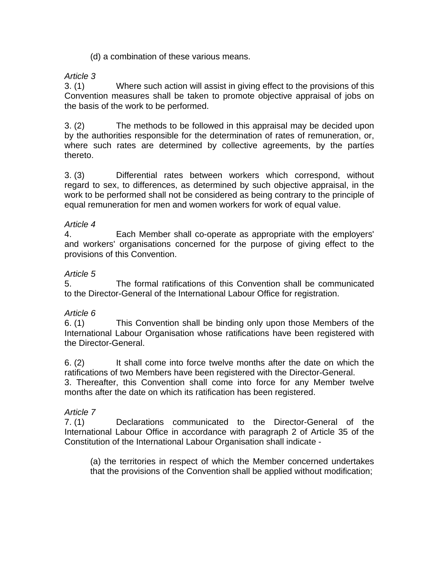### (d) a combination of these various means.

## *Article 3*

3. (1) Where such action will assist in giving effect to the provisions of this Convention measures shall be taken to promote objective appraisal of jobs on the basis of the work to be performed.

3. (2) The methods to be followed in this appraisal may be decided upon by the authorities responsible for the determination of rates of remuneration, or, where such rates are determined by collective agreements, by the partíes thereto.

3. (3) Differential rates between workers which correspond, without regard to sex, to differences, as determined by such objective appraisal, in the work to be performed shall not be considered as being contrary to the principle of equal remuneration for men and women workers for work of equal value.

### *Article 4*

4. Each Member shall co-operate as appropriate with the employers' and workers' organisations concerned for the purpose of giving effect to the provisions of this Convention.

### *Article 5*

5. The formal ratifications of this Convention shall be communicated to the Director-General of the International Labour Office for registration.

## *Article 6*

6. (1) This Convention shall be binding only upon those Members of the International Labour Organisation whose ratifications have been registered with the Director-General.

6. (2) It shall come into force twelve months after the date on which the ratifications of two Members have been registered with the Director-General.

3. Thereafter, this Convention shall come into force for any Member twelve months after the date on which its ratification has been registered.

## *Article 7*

7. (1) Declarations communicated to the Director-General of the International Labour Office in accordance with paragraph 2 of Article 35 of the Constitution of the International Labour Organisation shall indicate -

(a) the territories in respect of which the Member concerned undertakes that the provisions of the Convention shall be applied without modification;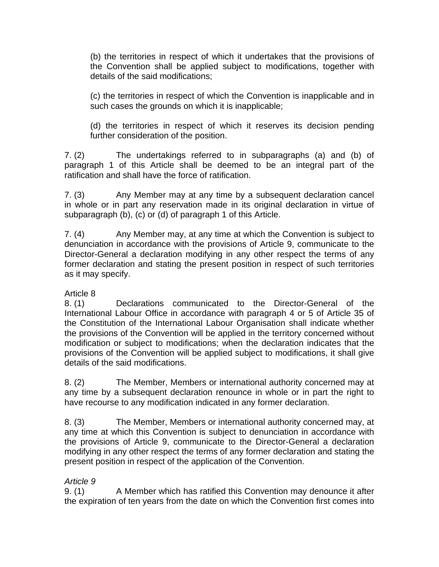(b) the territories in respect of which it undertakes that the provisions of the Convention shall be applied subject to modifications, together with details of the said modifications;

(c) the territories in respect of which the Convention is inapplicable and in such cases the grounds on which it is inapplicable;

(d) the territories in respect of which it reserves its decision pending further consideration of the position.

7. (2) The undertakings referred to in subparagraphs (a) and (b) of paragraph 1 of this Article shall be deemed to be an integral part of the ratification and shall have the force of ratification.

7. (3) Any Member may at any time by a subsequent declaration cancel in whole or in part any reservation made in its original declaration in virtue of subparagraph (b), (c) or (d) of paragraph 1 of this Article.

7. (4) Any Member may, at any time at which the Convention is subject to denunciation in accordance with the provisions of Article 9, communicate to the Director-General a declaration modifying in any other respect the terms of any former declaration and stating the present position in respect of such territories as it may specify.

# Article 8

8. (1) Declarations communicated to the Director-General of the International Labour Office in accordance with paragraph 4 or 5 of Article 35 of the Constitution of the International Labour Organisation shall indicate whether the provisions of the Convention will be applied in the territory concerned without modification or subject to modifications; when the declaration indicates that the provisions of the Convention will be applied subject to modifications, it shall give details of the said modifications.

8. (2) The Member, Members or international authority concerned may at any time by a subsequent declaration renounce in whole or in part the right to have recourse to any modification indicated in any former declaration.

8. (3) The Member, Members or international authority concerned may, at any time at which this Convention is subject to denunciation in accordance with the provisions of Article 9, communicate to the Director-General a declaration modifying in any other respect the terms of any former declaration and stating the present position in respect of the application of the Convention.

# *Article 9*

9. (1) A Member which has ratified this Convention may denounce it after the expiration of ten years from the date on which the Convention first comes into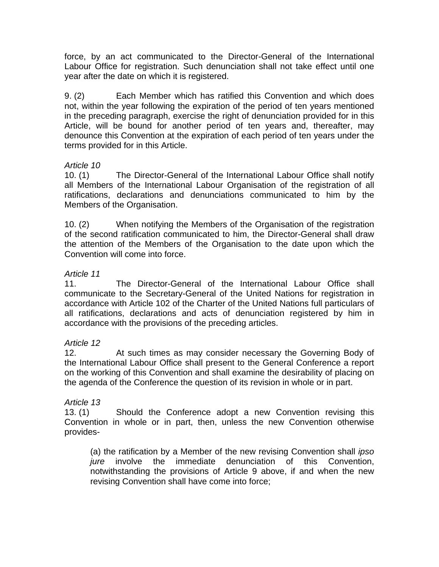force, by an act communicated to the Director-General of the International Labour Office for registration. Such denunciation shall not take effect until one year after the date on which it is registered.

9. (2) Each Member which has ratified this Convention and which does not, within the year following the expiration of the period of ten years mentioned in the preceding paragraph, exercise the right of denunciation provided for in this Article, will be bound for another period of ten years and, thereafter, may denounce this Convention at the expiration of each period of ten years under the terms provided for in this Article.

## *Article 10*

10. (1) The Director-General of the International Labour Office shall notify all Members of the International Labour Organisation of the registration of all ratifications, declarations and denunciations communicated to him by the Members of the Organisation.

10. (2) When notifying the Members of the Organisation of the registration of the second ratification communicated to him, the Director-General shall draw the attention of the Members of the Organisation to the date upon which the Convention will come into force.

## *Article 11*

11. The Director-General of the International Labour Office shall communicate to the Secretary-General of the United Nations for registration in accordance with Article 102 of the Charter of the United Nations full particulars of all ratifications, declarations and acts of denunciation registered by him in accordance with the provisions of the preceding articles.

## *Article 12*

12. At such times as may consider necessary the Governing Body of the International Labour Office shall present to the General Conference a report on the working of this Convention and shall examine the desirability of placing on the agenda of the Conference the question of its revision in whole or in part.

## *Article 13*

13. (1) Should the Conference adopt a new Convention revising this Convention in whole or in part, then, unless the new Convention otherwise provides-

(a) the ratification by a Member of the new revising Convention shall *ipso jure* involve the immediate denunciation of this Convention, notwithstanding the provisions of Article 9 above, if and when the new revising Convention shall have come into force;